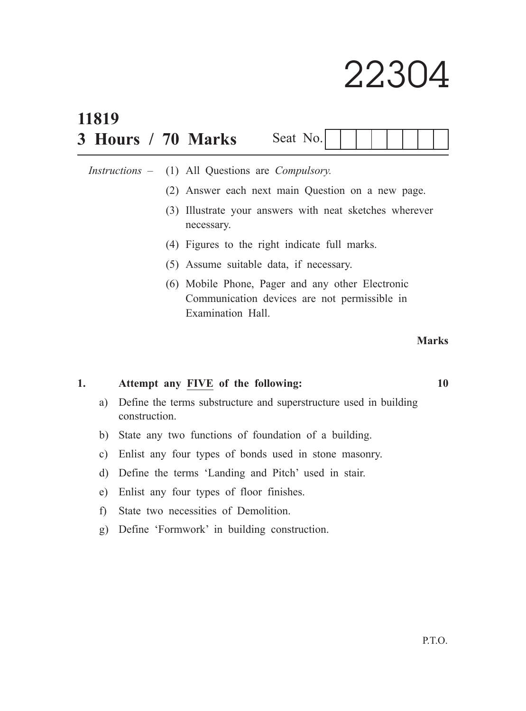# 22304

| 11819<br>3 Hours / 70 Marks | Seat No.                                                                                                              |
|-----------------------------|-----------------------------------------------------------------------------------------------------------------------|
|                             | <i>Instructions –</i> (1) All Questions are <i>Compulsory</i> .                                                       |
|                             | (2) Answer each next main Question on a new page.                                                                     |
|                             | (3) Illustrate your answers with neat sketches wherever<br>necessary.                                                 |
|                             | (4) Figures to the right indicate full marks.                                                                         |
|                             | (5) Assume suitable data, if necessary.                                                                               |
|                             | (6) Mobile Phone, Pager and any other Electronic<br>Communication devices are not permissible in<br>Examination Hall. |
|                             | <b>Marks</b>                                                                                                          |

### **1. Attempt any FIVE of the following: 10**

- a) Define the terms substructure and superstructure used in building construction.
- b) State any two functions of foundation of a building.
- c) Enlist any four types of bonds used in stone masonry.
- d) Define the terms 'Landing and Pitch' used in stair.
- e) Enlist any four types of floor finishes.
- f) State two necessities of Demolition.
- g) Define 'Formwork' in building construction.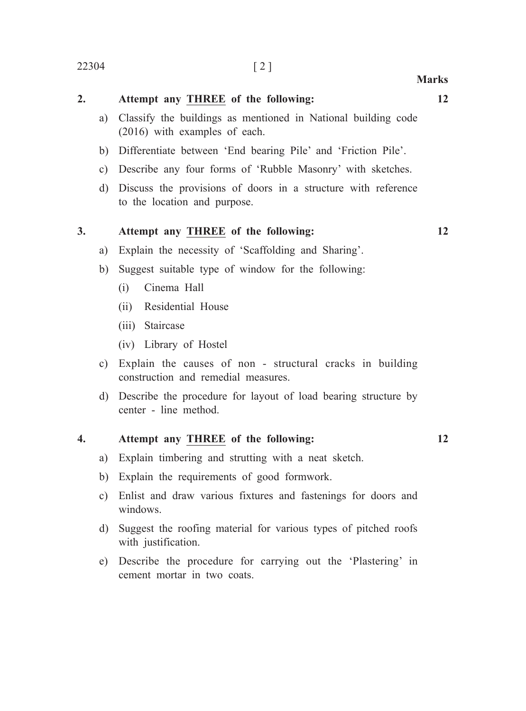## **2. Attempt any THREE of the following: 12** a) Classify the buildings as mentioned in National building code (2016) with examples of each. b) Differentiate between 'End bearing Pile' and 'Friction Pile'. c) Describe any four forms of 'Rubble Masonry' with sketches. d) Discuss the provisions of doors in a structure with reference

to the location and purpose.

#### **3. Attempt any THREE of the following: 12**

- a) Explain the necessity of 'Scaffolding and Sharing'.
- b) Suggest suitable type of window for the following:
	- (i) Cinema Hall
	- (ii) Residential House
	- (iii) Staircase
	- (iv) Library of Hostel
- c) Explain the causes of non structural cracks in building construction and remedial measures.
- d) Describe the procedure for layout of load bearing structure by center - line method.

#### **4. Attempt any THREE of the following: 12**

- a) Explain timbering and strutting with a neat sketch.
- b) Explain the requirements of good formwork.
- c) Enlist and draw various fixtures and fastenings for doors and windows.
- d) Suggest the roofing material for various types of pitched roofs with justification.
- e) Describe the procedure for carrying out the 'Plastering' in cement mortar in two coats.